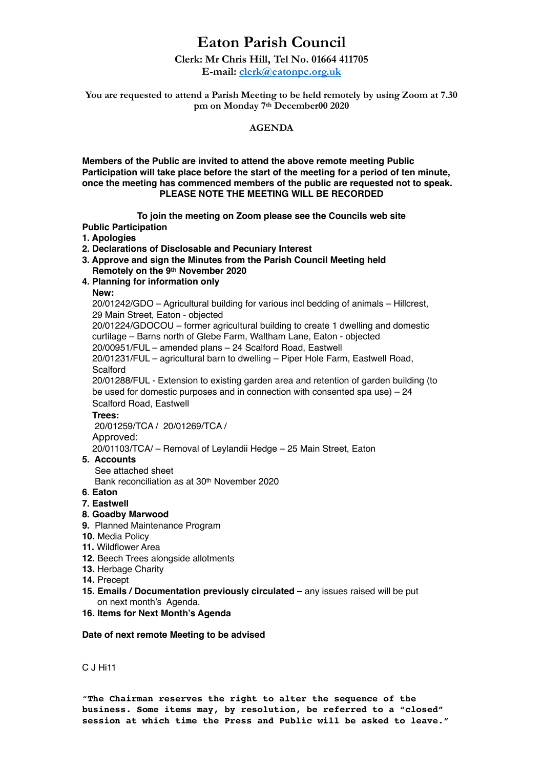# **Eaton Parish Council**

# **Clerk: Mr Chris Hill, Tel No. 01664 411705**

**E-mail: [clerk@eatonpc.org.uk](mailto:clerk@eatonpc.org.uk)**

**You are requested to attend a Parish Meeting to be held remotely by using Zoom at 7.30 pm on Monday 7th December00 2020** 

## **AGENDA**

**Members of the Public are invited to attend the above remote meeting Public Participation will take place before the start of the meeting for a period of ten minute, once the meeting has commenced members of the public are requested not to speak. PLEASE NOTE THE MEETING WILL BE RECORDED**

**To join the meeting on Zoom please see the Councils web site**

**Public Participation** 

- **1. Apologies**
- **2. Declarations of Disclosable and Pecuniary Interest**
- **3. Approve and sign the Minutes from the Parish Council Meeting held Remotely on the 9th November 2020**
- **4. Planning for information only**

# **New:**

20/01242/GDO – Agricultural building for various incl bedding of animals – Hillcrest, 29 Main Street, Eaton - objected

 20/01224/GDOCOU – former agricultural building to create 1 dwelling and domestic curtilage – Barns north of Glebe Farm, Waltham Lane, Eaton - objected

 20/00951/FUL – amended plans – 24 Scalford Road, Eastwell 20/01231/FUL – agricultural barn to dwelling – Piper Hole Farm, Eastwell Road,

Scalford

 20/01288/FUL - Extension to existing garden area and retention of garden building (to be used for domestic purposes and in connection with consented spa use) – 24 Scalford Road, Eastwell

## **Trees:**

20/01259/TCA / 20/01269/TCA / Approved:

20/01103/TCA/ – Removal of Leylandii Hedge – 25 Main Street, Eaton

# **5. Accounts**

See attached sheet

Bank reconciliation as at 30th November 2020

**6**. **Eaton** 

## **7. Eastwell**

- **8. Goadby Marwood**
- **9.** Planned Maintenance Program
- **10.** Media Policy
- **11.** Wildflower Area
- **12.** Beech Trees alongside allotments
- **13.** Herbage Charity
- **14.** Precept
- **15. Emails / Documentation previously circulated** any issues raised will be put on next month's Agenda.
- **16. Items for Next Month's Agenda**

## **Date of next remote Meeting to be advised**

C J Hi11

"**The Chairman reserves the right to alter the sequence of the business. Some items may, by resolution, be referred to a "closed" session at which time the Press and Public will be asked to leave."**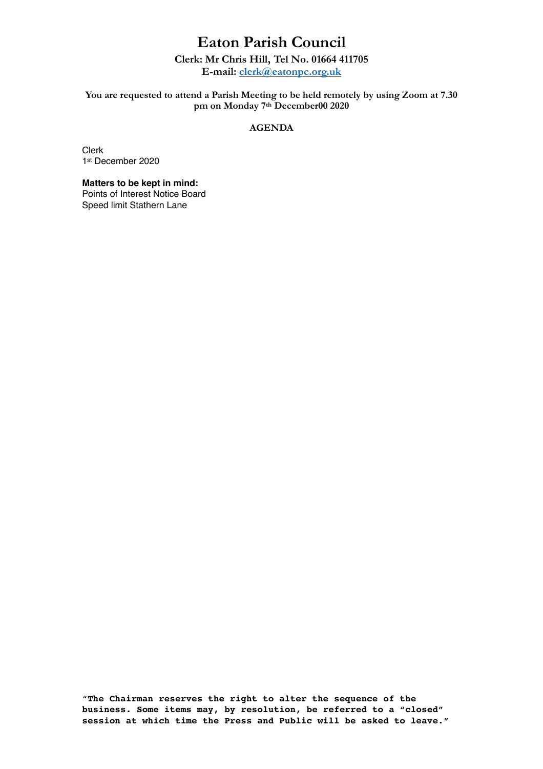# **Eaton Parish Council**

# **Clerk: Mr Chris Hill, Tel No. 01664 411705**

**E-mail: [clerk@eatonpc.org.uk](mailto:clerk@eatonpc.org.uk)**

## **You are requested to attend a Parish Meeting to be held remotely by using Zoom at 7.30 pm on Monday 7th December00 2020**

# **AGENDA**

Clerk 1st December 2020

# **Matters to be kept in mind:**

Points of Interest Notice Board Speed limit Stathern Lane

"**The Chairman reserves the right to alter the sequence of the business. Some items may, by resolution, be referred to a "closed" session at which time the Press and Public will be asked to leave."**